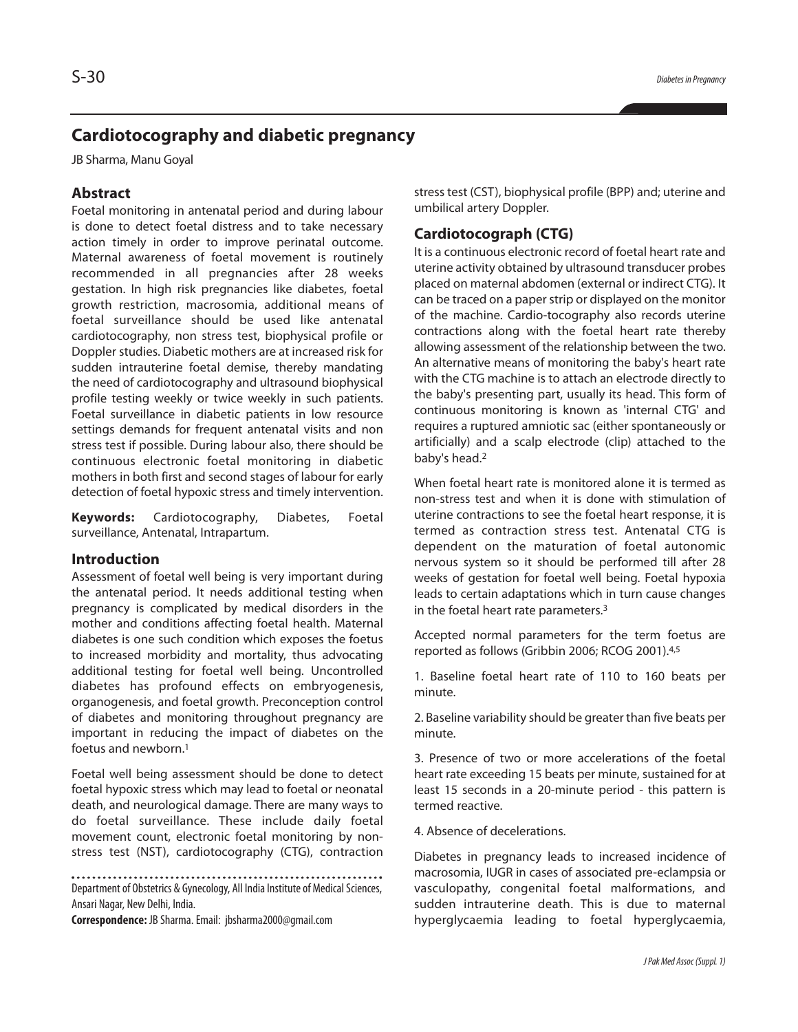# **Cardiotocography and diabetic pregnancy**

JB Sharma, Manu Goyal

# **Abstract**

Foetal monitoring in antenatal period and during labour is done to detect foetal distress and to take necessary action timely in order to improve perinatal outcome. Maternal awareness of foetal movement is routinely recommended in all pregnancies after 28 weeks gestation. In high risk pregnancies like diabetes, foetal growth restriction, macrosomia, additional means of foetal surveillance should be used like antenatal cardiotocography, non stress test, biophysical profile or Doppler studies. Diabetic mothers are at increased risk for sudden intrauterine foetal demise, thereby mandating the need of cardiotocography and ultrasound biophysical profile testing weekly or twice weekly in such patients. Foetal surveillance in diabetic patients in low resource settings demands for frequent antenatal visits and non stress test if possible. During labour also, there should be continuous electronic foetal monitoring in diabetic mothers in both first and second stages of labour for early detection of foetal hypoxic stress and timely intervention.

**Keywords:** Cardiotocography, Diabetes, Foetal surveillance, Antenatal, Intrapartum.

## **Introduction**

Assessment of foetal well being is very important during the antenatal period. It needs additional testing when pregnancy is complicated by medical disorders in the mother and conditions affecting foetal health. Maternal diabetes is one such condition which exposes the foetus to increased morbidity and mortality, thus advocating additional testing for foetal well being. Uncontrolled diabetes has profound effects on embryogenesis, organogenesis, and foetal growth. Preconception control of diabetes and monitoring throughout pregnancy are important in reducing the impact of diabetes on the foetus and newborn. 1

Foetal well being assessment should be done to detect foetal hypoxic stress which may lead to foetal or neonatal death, and neurological damage. There are many ways to do foetal surveillance. These include daily foetal movement count, electronic foetal monitoring by nonstress test (NST), cardiotocography (CTG), contraction

Department of Obstetrics & Gynecology, All India Institute of Medical Sciences, Ansari Nagar, New Delhi, India.

**Correspondence:** JB Sharma.Email: jbsharma2000@gmail.com

stress test (CST), biophysical profile (BPP) and; uterine and umbilical artery Doppler.

# **Cardiotocograph (CTG)**

It is a continuous electronic record of foetal heart rate and uterine activity obtained by ultrasound transducer probes placed on maternal abdomen (external or indirect CTG). It can be traced on a paperstrip or displayed on the monitor of the machine. Cardio-tocography also records uterine contractions along with the foetal heart rate thereby allowing assessment of the relationship between the two. An alternative means of monitoring the baby's heart rate with the CTG machine is to attach an electrode directly to the baby's presenting part, usually its head. This form of continuous monitoring is known as 'internal CTG' and requires a ruptured amniotic sac (either spontaneously or artificially) and a scalp electrode (clip) attached to the baby's head. 2

When foetal heart rate is monitored alone it is termed as non-stress test and when it is done with stimulation of uterine contractions to see the foetal heart response, it is termed as contraction stress test. Antenatal CTG is dependent on the maturation of foetal autonomic nervous system so it should be performed till after 28 weeks of gestation for foetal well being. Foetal hypoxia leads to certain adaptations which in turn cause changes in the foetal heart rate parameters. 3

Accepted normal parameters for the term foetus are reported as follows (Gribbin 2006; RCOG 2001). 4,5

1. Baseline foetal heart rate of 110 to 160 beats per minute.

2. Baseline variability should be greater than five beats per minute.

3. Presence of two or more accelerations of the foetal heart rate exceeding 15 beats per minute, sustained for at least 15 seconds in a 20-minute period - this pattern is termed reactive.

4. Absence of decelerations.

Diabetes in pregnancy leads to increased incidence of macrosomia, IUGR in cases of associated pre-eclampsia or vasculopathy, congenital foetal malformations, and sudden intrauterine death. This is due to maternal hyperglycaemia leading to foetal hyperglycaemia,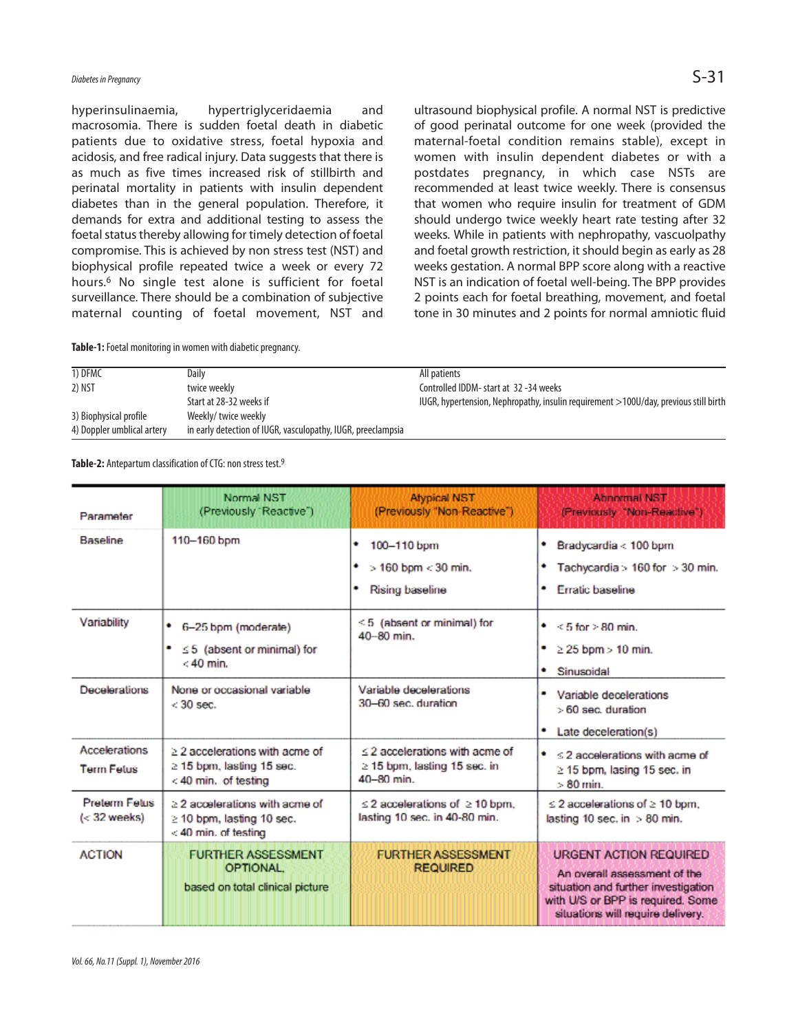# *Diabetes inPregnancy* S-31

hyperinsulinaemia, hypertriglyceridaemia and macrosomia. There is sudden foetal death in diabetic patients due to oxidative stress, foetal hypoxia and acidosis, and free radical injury. Data suggests that there is as much as five times increased risk of stillbirth and perinatal mortality in patients with insulin dependent diabetes than in the general population. Therefore, it demands for extra and additional testing to assess the foetal status thereby allowing for timely detection of foetal compromise. This is achieved by non stress test (NST) and biophysical profile repeated twice a week or every 72 hours. <sup>6</sup> No single test alone is sufficient for foetal surveillance. There should be a combination of subjective maternal counting of foetal movement, NST and

Table-1: Foetal monitoring in women with diabetic pregnancy.

ultrasound biophysical profile. A normal NST is predictive of good perinatal outcome for one week (provided the maternal-foetal condition remains stable), except in women with insulin dependent diabetes or with a postdates pregnancy, in which case NSTs are recommended at least twice weekly. There is consensus that women who require insulin for treatment of GDM should undergo twice weekly heart rate testing after 32 weeks. While in patients with nephropathy, vascuolpathy and foetal growth restriction, it should begin as early as 28 weeks gestation. A normal BPP score along with a reactive NST is an indication of foetal well-being. The BPP provides 2 points each for foetal breathing, movement, and foetal tone in 30 minutes and 2 points for normal amniotic fluid

| 1) DFMC                    | Daily                                                        | All patients                                                                         |
|----------------------------|--------------------------------------------------------------|--------------------------------------------------------------------------------------|
| 2) NST                     | twice weekly                                                 | Controlled IDDM- start at 32-34 weeks                                                |
|                            | Start at 28-32 weeks if                                      | IUGR, hypertension, Nephropathy, insulin requirement >100U/day, previous still birth |
| 3) Biophysical profile     | Weekly/twice weekly                                          |                                                                                      |
| 4) Doppler umblical artery | in early detection of IUGR, vasculopathy, IUGR, preeclampsia |                                                                                      |

Table-2: Antepartum classification of CTG: non stress test.<sup>9</sup>

| Parameter                                 | Normal NST<br>(Previously 'Reactive')                                                           | <b>Atypical NST</b><br>(Previously "Non-Reactive")                                | Abnormal NST<br>(Previously "Non-Reactive")                                                                                                                                    |
|-------------------------------------------|-------------------------------------------------------------------------------------------------|-----------------------------------------------------------------------------------|--------------------------------------------------------------------------------------------------------------------------------------------------------------------------------|
| <b>Baseline</b>                           | 110-160 bpm                                                                                     | 100-110 bpm<br>٠<br>٠<br>$>$ 160 bpm $<$ 30 min.<br>۰<br>Rising baseline          | Bradycardia < 100 bpm<br>Tachycardia > $160$ for $>$ 30 min.<br><b>Erratic baseline</b>                                                                                        |
| Variability                               | ٠<br>6-25 bpm (moderate)<br>$\leq$ 5 (absent or minimal) for<br>$< 40$ min.                     | $\leq 5$ (absent or minimal) for<br>$40 - 80$ min.                                | $\bullet$ < 5 for > 80 min.<br>$\geq$ 25 bpm $>$ 10 min.<br>Sinusoidal                                                                                                         |
| Decelerations                             | None or occasional variable<br>$< 30$ sec.                                                      | Variable decelerations<br>30-60 sec. duration                                     | Variable decelerations<br>$>60$ sec. duration<br>Late deceleration(s)                                                                                                          |
| <b>Accelerations</b><br><b>Term Fetus</b> | $\geq$ 2 accelerations with acme of<br>$\geq$ 15 bpm, lasting 15 sec.<br>$<$ 40 min. of testing | $\leq$ 2 accelerations with acme of<br>≥ 15 bpm, lasting 15 sec. in<br>40-80 min. | $\leq$ 2 accelerations with acme of<br>$\geq$ 15 bpm, lasing 15 sec. in<br>$>80$ min.                                                                                          |
| <b>Preterm Felus:</b><br>$(< 32$ weeks)   | $\geq$ 2 accelerations with acme of<br>$\geq$ 10 bpm, lasting 10 sec.<br>$<$ 40 min. of testing | $\leq$ 2 accelerations of $\geq$ 10 bpm.<br>lasting 10 sec. in 40-80 min.         | $\leq$ 2 accelerations of $\geq$ 10 bpm.<br>lasting 10 sec. in $>80$ min.                                                                                                      |
| <b>ACTION</b>                             | <b>FURTHER ASSESSMENT</b><br><b>OPTIONAL</b><br>based on total clinical picture                 | <b>FURTHER ASSESSMENT</b><br><b>REQUIRED</b>                                      | <b>URGENT ACTION REQUIRED</b><br>An overall assessment of the<br>situation and further investigation<br>with U/S or BPP is required. Some<br>situations will require delivery. |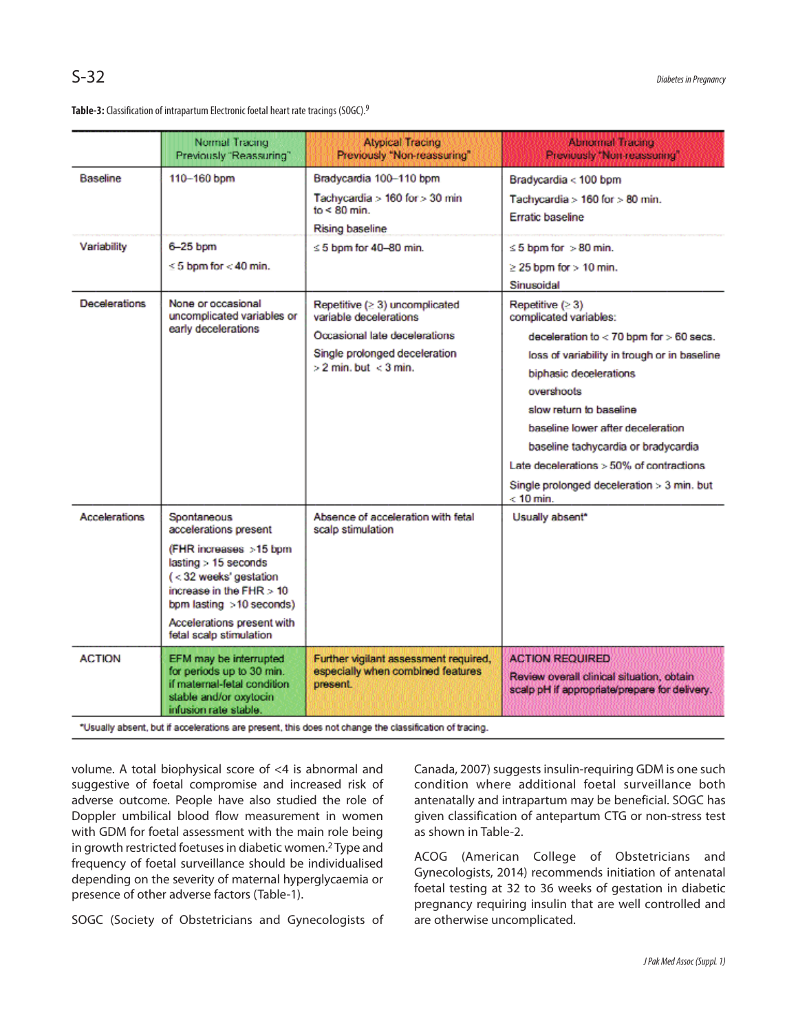Table-3: Classification of intrapartum Electronic foetal heart rate tracings (SOGC).<sup>9</sup>

|                      | Normal Tracing<br>Previously "Reassuring"                                                                                                                                                                                          | <b>Atypical Tracing</b><br>Previously "Non-reassuring"                                                                                                        | <b>Abnomal Tracing</b><br>Previously "Non-reassuring"                                                                                                                                                                                                                                                                                                                                                 |
|----------------------|------------------------------------------------------------------------------------------------------------------------------------------------------------------------------------------------------------------------------------|---------------------------------------------------------------------------------------------------------------------------------------------------------------|-------------------------------------------------------------------------------------------------------------------------------------------------------------------------------------------------------------------------------------------------------------------------------------------------------------------------------------------------------------------------------------------------------|
| <b>Baseline</b>      | 110-160 bpm                                                                                                                                                                                                                        | Bradycardia 100-110 bpm<br>Tachycardia > 160 for > 30 min<br>$to < 80$ min.<br>Rising baseline                                                                | Bradycardia < 100 bpm<br>Tachycardia > 160 for > 80 min.<br>Erratic baseline                                                                                                                                                                                                                                                                                                                          |
| Variability          | 6-25 bpm<br>$\leq 5$ bpm for $< 40$ min.                                                                                                                                                                                           | $\leq$ 5 bpm for 40-80 min.                                                                                                                                   | $\leq$ 5 bpm for $>$ 80 min.<br>$\geq$ 25 bpm for $>$ 10 min.<br>Sinusoidal                                                                                                                                                                                                                                                                                                                           |
| <b>Decelerations</b> | None or occasional<br>uncomplicated variables or<br>early decelerations                                                                                                                                                            | Repetitive $( \geq 3)$ uncomplicated<br>variable decelerations<br>Occasional late decelerations<br>Single prolonged deceleration<br>$>$ 2 min. but $<$ 3 min. | Repetitive (≥ 3)<br>complicated variables:<br>deceleration to $< 70$ bpm for $> 60$ secs.<br>loss of variability in trough or in baseline<br>biphasic decelerations<br>overshoots<br>slow return to baseline<br>baseline lower after deceleration<br>baseline tachycardia or bradycardia<br>Late decelerations $>50\%$ of contractions<br>Single prolonged deceleration $>$ 3 min. but<br>$< 10$ min. |
| <b>Accelerations</b> | Spontaneous<br>accelerations present<br>(FHR increases >15 bpm<br>lasting > 15 seconds<br>(<32 weeks' gestation<br>increase in the $FHR > 10$<br>bpm lasting >10 seconds)<br>Accelerations present with<br>fetal scalp stimulation | Absence of acceleration with fetal<br>scalp stimulation                                                                                                       | Usually absent*                                                                                                                                                                                                                                                                                                                                                                                       |
| <b>ACTION</b>        | EFM may be interrupted<br>for periods up to 30 min.<br>if maternal-fetal condition<br>stable and/or oxytocin<br>infusion rate stable.                                                                                              | Further vigilant assessment required,<br>especially when combined features<br>present.                                                                        | <b>ACTION REQUIRED</b><br>Review overall clinical situation, obtain<br>scalp pH if appropriate/prepare for delivery.                                                                                                                                                                                                                                                                                  |

\*Usually absent, but if accelerations are present, this does not change the classification of tracing.

volume. A total biophysical score of <4 is abnormal and suggestive of foetal compromise and increased risk of adverse outcome. People have also studied the role of Doppler umbilical blood flow measurement in women with GDM for foetal assessment with the main role being in growth restricted foetuses in diabetic women.<sup>2</sup> Type and frequency of foetal surveillance should be individualised depending on the severity of maternal hyperglycaemia or presence of other adverse factors (Table-1).

SOGC (Society of Obstetricians and Gynecologists of

Canada, 2007) suggests insulin-requiring GDM is one such condition where additional foetal surveillance both antenatally and intrapartum may be beneficial. SOGC has given classification of antepartum CTG or non-stress test as shown in Table-2.

ACOG (American College of Obstetricians and Gynecologists, 2014) recommends initiation of antenatal foetal testing at 32 to 36 weeks of gestation in diabetic pregnancy requiring insulin that are well controlled and are otherwise uncomplicated.